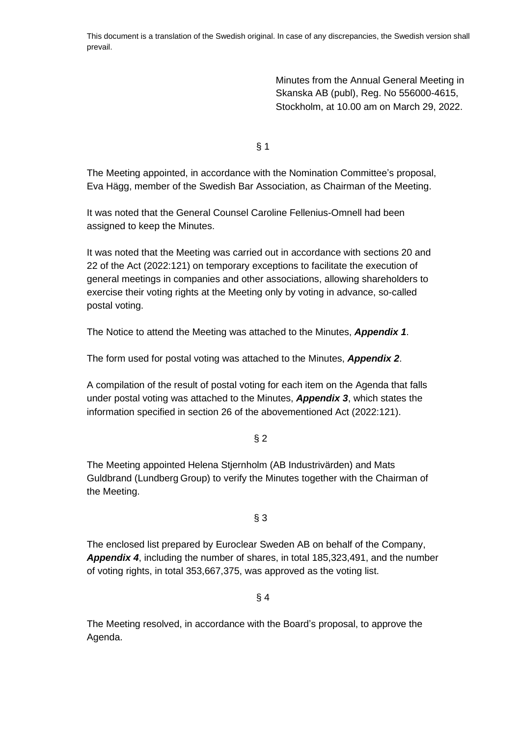This document is a translation of the Swedish original. In case of any discrepancies, the Swedish version shall prevail.

> Minutes from the Annual General Meeting in Skanska AB (publ), Reg. No 556000-4615, Stockholm, at 10.00 am on March 29, 2022.

§ 1

The Meeting appointed, in accordance with the Nomination Committee's proposal, Eva Hägg, member of the Swedish Bar Association, as Chairman of the Meeting.

It was noted that the General Counsel Caroline Fellenius-Omnell had been assigned to keep the Minutes.

It was noted that the Meeting was carried out in accordance with sections 20 and 22 of the Act (2022:121) on temporary exceptions to facilitate the execution of general meetings in companies and other associations, allowing shareholders to exercise their voting rights at the Meeting only by voting in advance, so-called postal voting.

The Notice to attend the Meeting was attached to the Minutes, *Appendix 1*.

The form used for postal voting was attached to the Minutes, *Appendix 2*.

A compilation of the result of postal voting for each item on the Agenda that falls under postal voting was attached to the Minutes, *Appendix 3*, which states the information specified in section 26 of the abovementioned Act (2022:121).

### $§$  2

The Meeting appointed Helena Stjernholm (AB Industrivärden) and Mats Guldbrand (Lundberg Group) to verify the Minutes together with the Chairman of the Meeting.

### § 3

The enclosed list prepared by Euroclear Sweden AB on behalf of the Company, *Appendix 4*, including the number of shares, in total 185,323,491, and the number of voting rights, in total 353,667,375, was approved as the voting list.

## § 4

The Meeting resolved, in accordance with the Board's proposal, to approve the Agenda.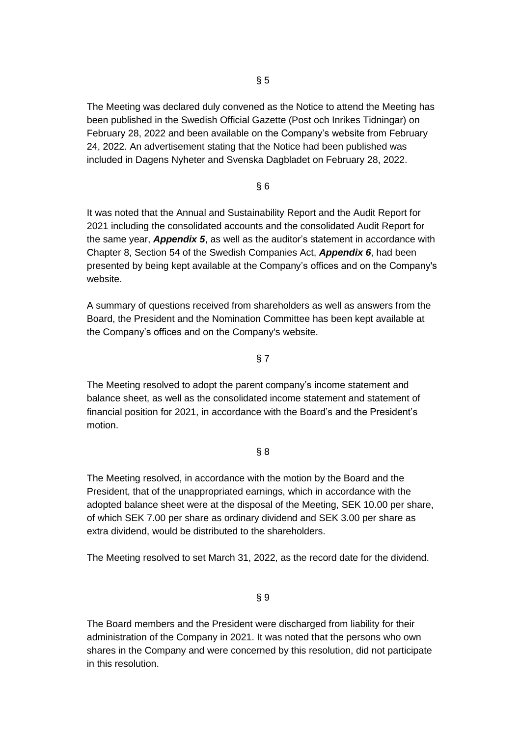The Meeting was declared duly convened as the Notice to attend the Meeting has been published in the Swedish Official Gazette (Post och Inrikes Tidningar) on February 28, 2022 and been available on the Company's website from February 24, 2022. An advertisement stating that the Notice had been published was included in Dagens Nyheter and Svenska Dagbladet on February 28, 2022.

# § 6

It was noted that the Annual and Sustainability Report and the Audit Report for 2021 including the consolidated accounts and the consolidated Audit Report for the same year, *Appendix 5*, as well as the auditor's statement in accordance with Chapter 8, Section 54 of the Swedish Companies Act, *Appendix 6*, had been presented by being kept available at the Company's offices and on the Company's website.

A summary of questions received from shareholders as well as answers from the Board, the President and the Nomination Committee has been kept available at the Company's offices and on the Company's website.

### § 7

The Meeting resolved to adopt the parent company's income statement and balance sheet, as well as the consolidated income statement and statement of financial position for 2021, in accordance with the Board's and the President's motion.

### § 8

The Meeting resolved, in accordance with the motion by the Board and the President, that of the unappropriated earnings, which in accordance with the adopted balance sheet were at the disposal of the Meeting, SEK 10.00 per share, of which SEK 7.00 per share as ordinary dividend and SEK 3.00 per share as extra dividend, would be distributed to the shareholders.

The Meeting resolved to set March 31, 2022, as the record date for the dividend.

§ 9

The Board members and the President were discharged from liability for their administration of the Company in 2021. It was noted that the persons who own shares in the Company and were concerned by this resolution, did not participate in this resolution.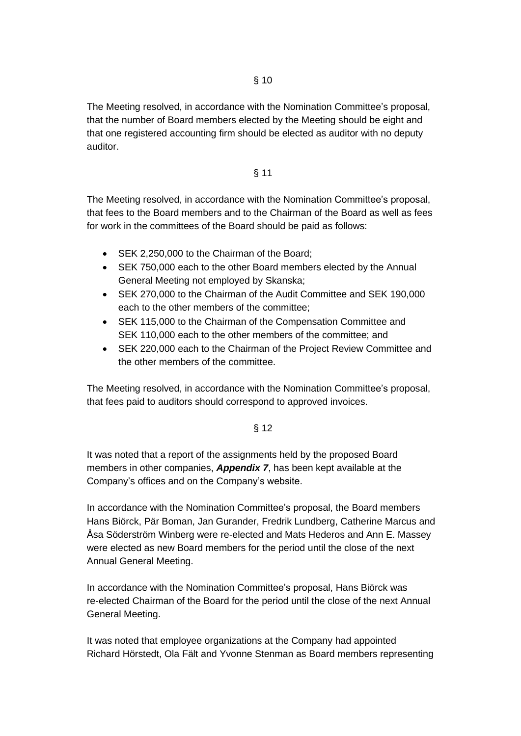The Meeting resolved, in accordance with the Nomination Committee's proposal, that the number of Board members elected by the Meeting should be eight and that one registered accounting firm should be elected as auditor with no deputy auditor.

#### § 11

The Meeting resolved, in accordance with the Nomination Committee's proposal, that fees to the Board members and to the Chairman of the Board as well as fees for work in the committees of the Board should be paid as follows:

- SEK 2,250,000 to the Chairman of the Board;
- SEK 750,000 each to the other Board members elected by the Annual General Meeting not employed by Skanska;
- SEK 270,000 to the Chairman of the Audit Committee and SEK 190,000 each to the other members of the committee;
- SEK 115,000 to the Chairman of the Compensation Committee and SEK 110,000 each to the other members of the committee; and
- SEK 220,000 each to the Chairman of the Project Review Committee and the other members of the committee.

The Meeting resolved, in accordance with the Nomination Committee's proposal, that fees paid to auditors should correspond to approved invoices.

### § 12

It was noted that a report of the assignments held by the proposed Board members in other companies, *Appendix 7*, has been kept available at the Company's offices and on the Company's website.

In accordance with the Nomination Committee's proposal, the Board members Hans Biörck, Pär Boman, Jan Gurander, Fredrik Lundberg, Catherine Marcus and Åsa Söderström Winberg were re-elected and Mats Hederos and Ann E. Massey were elected as new Board members for the period until the close of the next Annual General Meeting.

In accordance with the Nomination Committee's proposal, Hans Biörck was re-elected Chairman of the Board for the period until the close of the next Annual General Meeting.

It was noted that employee organizations at the Company had appointed Richard Hörstedt, Ola Fält and Yvonne Stenman as Board members representing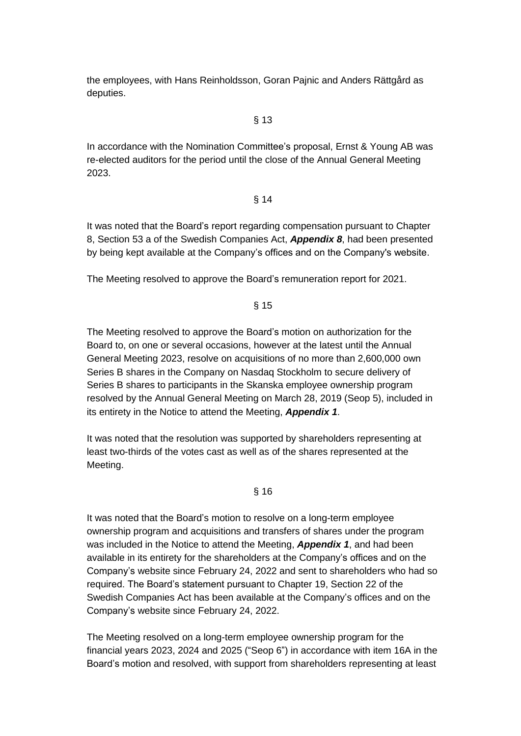the employees, with Hans Reinholdsson, Goran Pajnic and Anders Rättgård as deputies.

#### § 13

In accordance with the Nomination Committee's proposal, Ernst & Young AB was re-elected auditors for the period until the close of the Annual General Meeting 2023.

### § 14

It was noted that the Board's report regarding compensation pursuant to Chapter 8, Section 53 a of the Swedish Companies Act, *Appendix 8*, had been presented by being kept available at the Company's offices and on the Company's website.

The Meeting resolved to approve the Board's remuneration report for 2021.

§ 15

The Meeting resolved to approve the Board's motion on authorization for the Board to, on one or several occasions, however at the latest until the Annual General Meeting 2023, resolve on acquisitions of no more than 2,600,000 own Series B shares in the Company on Nasdaq Stockholm to secure delivery of Series B shares to participants in the Skanska employee ownership program resolved by the Annual General Meeting on March 28, 2019 (Seop 5), included in its entirety in the Notice to attend the Meeting, *Appendix 1*.

It was noted that the resolution was supported by shareholders representing at least two-thirds of the votes cast as well as of the shares represented at the Meeting.

### § 16

It was noted that the Board's motion to resolve on a long-term employee ownership program and acquisitions and transfers of shares under the program was included in the Notice to attend the Meeting, *Appendix 1*, and had been available in its entirety for the shareholders at the Company's offices and on the Company's website since February 24, 2022 and sent to shareholders who had so required. The Board's statement pursuant to Chapter 19, Section 22 of the Swedish Companies Act has been available at the Company's offices and on the Company's website since February 24, 2022.

The Meeting resolved on a long-term employee ownership program for the financial years 2023, 2024 and 2025 ("Seop 6") in accordance with item 16A in the Board's motion and resolved, with support from shareholders representing at least